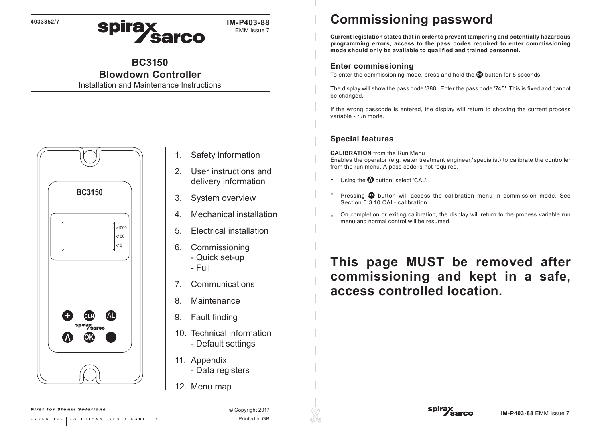**4033352/7**

spirax<br>Sarco **IM-P403-88** EMM Issue 7

# **BC3150**

# **Blowdown Controller**

Installation and Maintenance Instructions



- 1. Safety information
- 2. User instructions and delivery information
- 3. System overview
- 4. Mechanical installation
- 5. Electrical installation
- 6. Commissioning
	- Quick set-up
	- Full
- 7. Communications
- 8. Maintenance
- 9. Fault finding
- 10. Technical information - Default settings
- 11. Appendix
	- Data registers
- 12. Menu map

# **Commissioning password**

**Current legislation states that in order to prevent tampering and potentially hazardous programming errors, access to the pass codes required to enter commissioning mode should only be available to qualified and trained personnel.**

## **Enter commissioning**

To enter the commissioning mode, press and hold the **O** button for 5 seconds.

The display will show the pass code '888'. Enter the pass code '745'. This is fixed and cannot be changed.

If the wrong passcode is entered, the display will return to showing the current process variable - run mode.

## **Special features**

**CALIBRATION** from the Run Menu Enables the operator (e.g. water treatment engineer/ specialist) to calibrate the controller from the run menu. A pass code is not required.

- **-** Using the **Q** button, select 'CAL'.
- **-** Pressing **OK** button will access the calibration menu in commission mode. See Section 6.3.10 CAL- calibration.
- **-** On completion or exiting calibration, the display will return to the process variable run menu and normal control will be resumed.

# **This page MUST be removed after commissioning and kept in a safe, access controlled location.**

© Copyright 2017 Printed in GB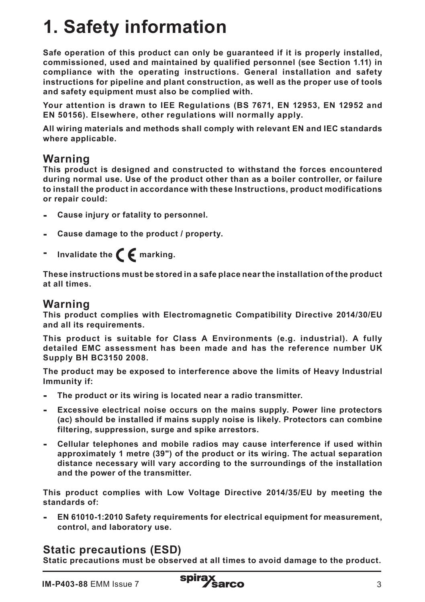# **1. Safety information**

**Safe operation of this product can only be guaranteed if it is properly installed, commissioned, used and maintained by qualified personnel (see Section 1.11) in compliance with the operating instructions. General installation and safety instructions for pipeline and plant construction, as well as the proper use of tools and safety equipment must also be complied with.**

**Your attention is drawn to IEE Regulations (BS 7671, EN 12953, EN 12952 and EN 50156). Elsewhere, other regulations will normally apply.**

**All wiring materials and methods shall comply with relevant EN and IEC standards where applicable.**

## **Warning**

**This product is designed and constructed to withstand the forces encountered during normal use. Use of the product other than as a boiler controller, or failure to install the product in accordance with these Instructions, product modifications or repair could:** 

- **- Cause injury or fatality to personnel.**
- **- Cause damage to the product / property.**
- Invalidate the  $\epsilon$  **F** marking.

**These instructions must be stored in a safe place near the installation of the product at all times.** 

### **Warning**

**This product complies with Electromagnetic Compatibility Directive 2014/30/EU and all its requirements.**

**This product is suitable for Class A Environments (e.g. industrial). A fully detailed EMC assessment has been made and has the reference number UK Supply BH BC3150 2008.**

**The product may be exposed to interference above the limits of Heavy Industrial Immunity if:**

- **- The product or its wiring is located near a radio transmitter.**
- **- Excessive electrical noise occurs on the mains supply. Power line protectors (ac) should be installed if mains supply noise is likely. Protectors can combine filtering, suppression, surge and spike arrestors.**
- **- Cellular telephones and mobile radios may cause interference if used within approximately 1 metre (39") of the product or its wiring. The actual separation distance necessary will vary according to the surroundings of the installation and the power of the transmitter.**

**This product complies with Low Voltage Directive 2014/35/EU by meeting the standards of:**

**- EN 61010-1:2010 Safety requirements for electrical equipment for measurement, control, and laboratory use.**

## **Static precautions (ESD)**

**Static precautions must be observed at all times to avoid damage to the product.**

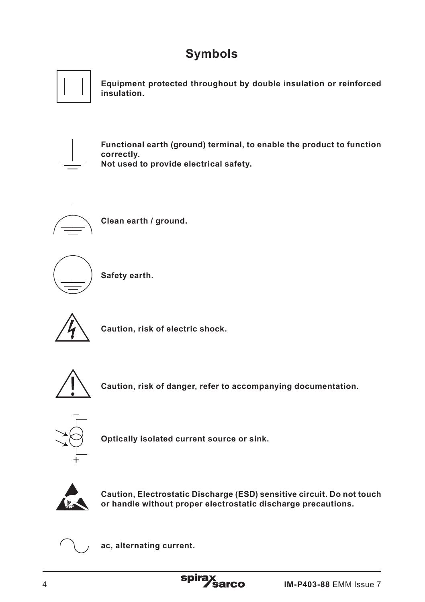# **Symbols**



**Equipment protected throughout by double insulation or reinforced insulation.**



**Functional earth (ground) terminal, to enable the product to function correctly. Not used to provide electrical safety.**



**Clean earth / ground.**



**Safety earth.**



**Caution, risk of electric shock.**



**Caution, risk of danger, refer to accompanying documentation.**



**Optically isolated current source or sink.**



**Caution, Electrostatic Discharge (ESD) sensitive circuit. Do not touch or handle without proper electrostatic discharge precautions.**



**ac, alternating current.**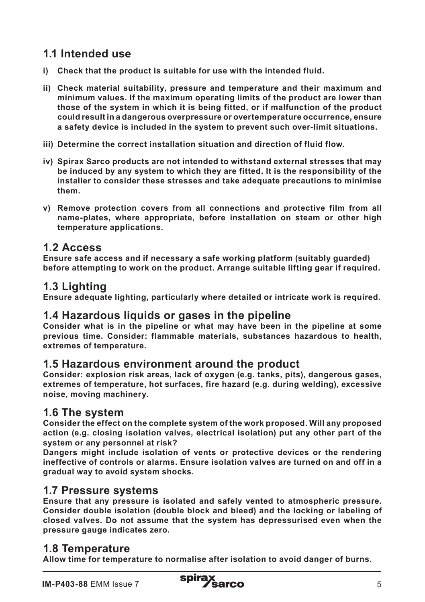# **1.1 Intended use**

- **i) Check that the product is suitable for use with the intended fluid.**
- **ii) Check material suitability, pressure and temperature and their maximum and minimum values. If the maximum operating limits of the product are lower than those of the system in which it is being fitted, or if malfunction of the product could result in a dangerous overpressure or overtemperature occurrence, ensure a safety device is included in the system to prevent such over-limit situations.**
- **iii) Determine the correct installation situation and direction of fluid flow.**
- **iv) Spirax Sarco products are not intended to withstand external stresses that may be induced by any system to which they are fitted. It is the responsibility of the installer to consider these stresses and take adequate precautions to minimise them.**
- **v) Remove protection covers from all connections and protective film from all name-plates, where appropriate, before installation on steam or other high temperature applications.**

## **1.2 Access**

**Ensure safe access and if necessary a safe working platform (suitably guarded) before attempting to work on the product. Arrange suitable lifting gear if required.**

## **1.3 Lighting**

**Ensure adequate lighting, particularly where detailed or intricate work is required.**

### **1.4 Hazardous liquids or gases in the pipeline**

**Consider what is in the pipeline or what may have been in the pipeline at some previous time. Consider: flammable materials, substances hazardous to health, extremes of temperature.**

#### **1.5 Hazardous environment around the product**

**Consider: explosion risk areas, lack of oxygen (e.g. tanks, pits), dangerous gases, extremes of temperature, hot surfaces, fire hazard (e.g. during welding), excessive noise, moving machinery.**

### **1.6 The system**

**Consider the effect on the complete system of the work proposed. Will any proposed action (e.g. closing isolation valves, electrical isolation) put any other part of the system or any personnel at risk?** 

**Dangers might include isolation of vents or protective devices or the rendering ineffective of controls or alarms. Ensure isolation valves are turned on and off in a gradual way to avoid system shocks.**

#### **1.7 Pressure systems**

**Ensure that any pressure is isolated and safely vented to atmospheric pressure. Consider double isolation (double block and bleed) and the locking or labeling of closed valves. Do not assume that the system has depressurised even when the pressure gauge indicates zero.**

## **1.8 Temperature**

**Allow time for temperature to normalise after isolation to avoid danger of burns.**

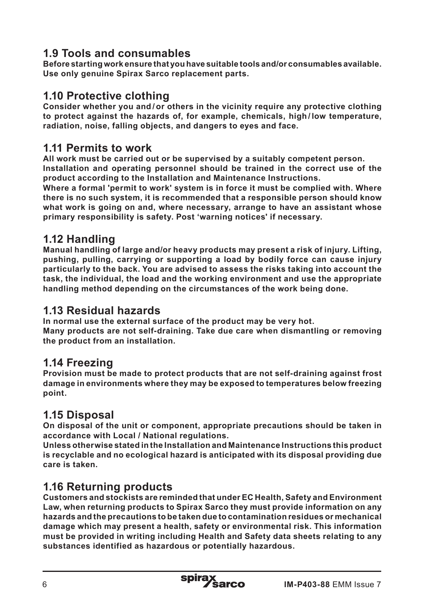## **1.9 Tools and consumables**

**Before starting work ensure that you have suitable tools and/or consumables available. Use only genuine Spirax Sarco replacement parts.**

## **1.10 Protective clothing**

**Consider whether you and / or others in the vicinity require any protective clothing to protect against the hazards of, for example, chemicals, high / low temperature, radiation, noise, falling objects, and dangers to eyes and face.**

## **1.11 Permits to work**

**All work must be carried out or be supervised by a suitably competent person. Installation and operating personnel should be trained in the correct use of the product according to the Installation and Maintenance Instructions.**

**Where a formal 'permit to work' system is in force it must be complied with. Where there is no such system, it is recommended that a responsible person should know what work is going on and, where necessary, arrange to have an assistant whose primary responsibility is safety. Post 'warning notices' if necessary.**

## **1.12 Handling**

**Manual handling of large and/or heavy products may present a risk of injury. Lifting, pushing, pulling, carrying or supporting a load by bodily force can cause injury particularly to the back. You are advised to assess the risks taking into account the task, the individual, the load and the working environment and use the appropriate handling method depending on the circumstances of the work being done.**

## **1.13 Residual hazards**

**In normal use the external surface of the product may be very hot. Many products are not self-draining. Take due care when dismantling or removing the product from an installation.**

## **1.14 Freezing**

**Provision must be made to protect products that are not self-draining against frost damage in environments where they may be exposed to temperatures below freezing point.**

## **1.15 Disposal**

**On disposal of the unit or component, appropriate precautions should be taken in accordance with Local / National regulations.**

**Unless otherwise stated in the Installation and Maintenance Instructions this product is recyclable and no ecological hazard is anticipated with its disposal providing due care is taken.**

## **1.16 Returning products**

**Customers and stockists are reminded that under EC Health, Safety and Environment Law, when returning products to Spirax Sarco they must provide information on any hazards and the precautions to be taken due to contamination residues or mechanical damage which may present a health, safety or environmental risk. This information must be provided in writing including Health and Safety data sheets relating to any substances identified as hazardous or potentially hazardous.**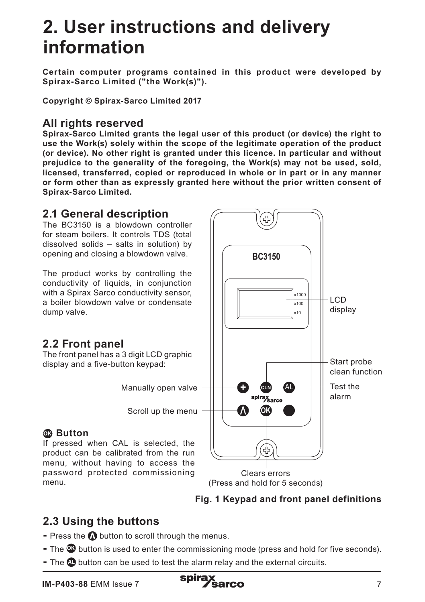# **2. User instructions and delivery information**

**Certain computer programs contained in this product were developed by Spirax-Sarco Limited ("the Work(s)").**

**Copyright © Spirax-Sarco Limited 2017**

## **All rights reserved**

**Spirax-Sarco Limited grants the legal user of this product (or device) the right to use the Work(s) solely within the scope of the legitimate operation of the product (or device). No other right is granted under this licence. In particular and without prejudice to the generality of the foregoing, the Work(s) may not be used, sold, licensed, transferred, copied or reproduced in whole or in part or in any manner or form other than as expressly granted here without the prior written consent of Spirax-Sarco Limited.**

### **2.1 General description**

The BC3150 is a blowdown controller for steam boilers. It controls TDS (total dissolved solids – salts in solution) by opening and closing a blowdown valve.

The product works by controlling the conductivity of liquids, in conjunction with a Spirax Sarco conductivity sensor, a boiler blowdown valve or condensate dump valve.

## **2.2 Front panel**

The front panel has a 3 digit LCD graphic display and a five-button keypad:

Manually open valve

Scroll up the menu

## **OK Button**

If pressed when CAL is selected, the product can be calibrated from the run menu, without having to access the password protected commissioning menu.



Clears errors (Press and hold for 5 seconds)



## **2.3 Using the buttons**

- **-** Press the  $\Omega$  button to scroll through the menus.
- The **OK** button is used to enter the commissioning mode (press and hold for five seconds).
- The **AL** button can be used to test the alarm relay and the external circuits.

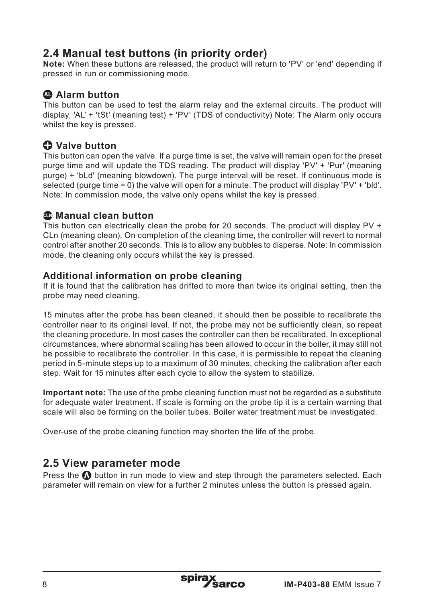## **2.4 Manual test buttons (in priority order)**

**Note:** When these buttons are released, the product will return to 'PV' or 'end' depending if pressed in run or commissioning mode.

### **AL Alarm button**

This button can be used to test the alarm relay and the external circuits. The product will display, 'AL' + 'tSt' (meaning test) + 'PV' (TDS of conductivity) Note: The Alarm only occurs whilst the key is pressed.

## **Valve button**

This button can open the valve. If a purge time is set, the valve will remain open for the preset purge time and will update the TDS reading. The product will display 'PV' + 'Pur' (meaning purge) + 'bLd' (meaning blowdown). The purge interval will be reset. If continuous mode is selected (purge time = 0) the valve will open for a minute. The product will display 'PV' + 'bld'. Note: In commission mode, the valve only opens whilst the key is pressed.

#### **CLN Manual clean button**

This button can electrically clean the probe for 20 seconds. The product will display PV + CLn (meaning clean). On completion of the cleaning time, the controller will revert to normal control after another 20 seconds. This is to allow any bubbles to disperse. Note: In commission mode, the cleaning only occurs whilst the key is pressed.

#### **Additional information on probe cleaning**

If it is found that the calibration has drifted to more than twice its original setting, then the probe may need cleaning.

15 minutes after the probe has been cleaned, it should then be possible to recalibrate the controller near to its original level. If not, the probe may not be sufficiently clean, so repeat the cleaning procedure. In most cases the controller can then be recalibrated. In exceptional circumstances, where abnormal scaling has been allowed to occur in the boiler, it may still not be possible to recalibrate the controller. In this case, it is permissible to repeat the cleaning period in 5-minute steps up to a maximum of 30 minutes, checking the calibration after each step. Wait for 15 minutes after each cycle to allow the system to stabilize.

**Important note:** The use of the probe cleaning function must not be regarded as a substitute for adequate water treatment. If scale is forming on the probe tip it is a certain warning that scale will also be forming on the boiler tubes. Boiler water treatment must be investigated.

Over-use of the probe cleaning function may shorten the life of the probe.

## **2.5 View parameter mode**

Press the  $\Omega$  button in run mode to view and step through the parameters selected. Each parameter will remain on view for a further 2 minutes unless the button is pressed again.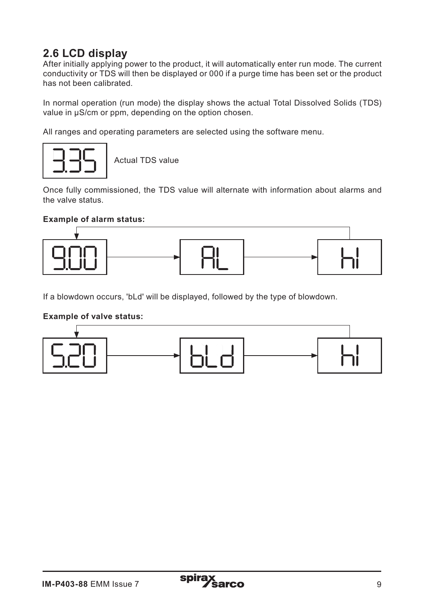## **2.6 LCD display**

After initially applying power to the product, it will automatically enter run mode. The current conductivity or TDS will then be displayed or 000 if a purge time has been set or the product has not been calibrated.

In normal operation (run mode) the display shows the actual Total Dissolved Solids (TDS) value in uS/cm or ppm, depending on the option chosen.

All ranges and operating parameters are selected using the software menu.



Actual TDS value

Once fully commissioned, the TDS value will alternate with information about alarms and the valve status.

#### **Example of alarm status:**



If a blowdown occurs, 'bLd' will be displayed, followed by the type of blowdown.

#### **Example of valve status:**

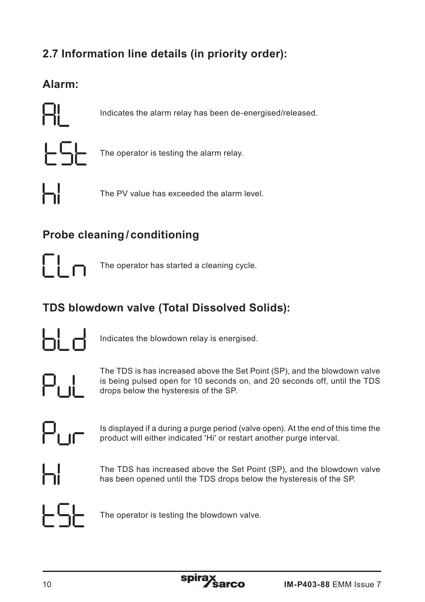# **2.7 Information line details (in priority order):**

# **Alarm:**



Indicates the alarm relay has been de-energised/released.



The operator is testing the alarm relay.



The PV value has exceeded the alarm level.

# **Probe cleaning/ conditioning**



The operator has started a cleaning cycle.

# **TDS blowdown valve (Total Dissolved Solids):**



Indicates the blowdown relay is energised.



The TDS is has increased above the Set Point (SP), and the blowdown valve is being pulsed open for 10 seconds on, and 20 seconds off, until the TDS drops below the hysteresis of the SP.



Is displayed if a during a purge period (valve open). At the end of this time the product will either indicated 'Hi' or restart another purge interval.



The TDS has increased above the Set Point (SP), and the blowdown valve has been opened until the TDS drops below the hysteresis of the SP.



The operator is testing the blowdown valve.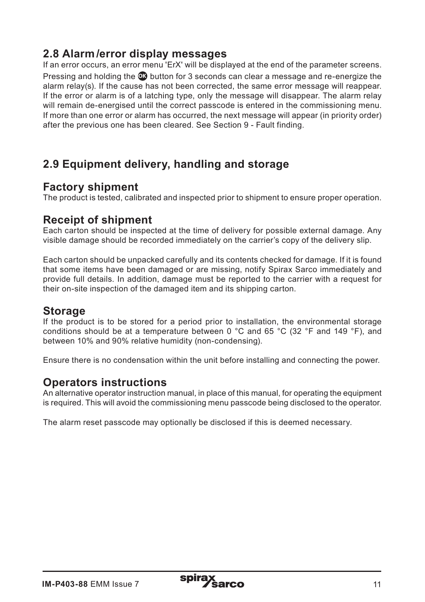## **2.8 Alarm/error display messages**

If an error occurs, an error menu 'ErX' will be displayed at the end of the parameter screens. Pressing and holding the **OK** button for 3 seconds can clear a message and re-energize the alarm relay(s). If the cause has not been corrected, the same error message will reappear. If the error or alarm is of a latching type, only the message will disappear. The alarm relay will remain de-energised until the correct passcode is entered in the commissioning menu. If more than one error or alarm has occurred, the next message will appear (in priority order) after the previous one has been cleared. See Section 9 - Fault finding.

## **2.9 Equipment delivery, handling and storage**

### **Factory shipment**

The product is tested, calibrated and inspected prior to shipment to ensure proper operation.

## **Receipt of shipment**

Each carton should be inspected at the time of delivery for possible external damage. Any visible damage should be recorded immediately on the carrier's copy of the delivery slip.

Each carton should be unpacked carefully and its contents checked for damage. If it is found that some items have been damaged or are missing, notify Spirax Sarco immediately and provide full details. In addition, damage must be reported to the carrier with a request for their on-site inspection of the damaged item and its shipping carton.

#### **Storage**

If the product is to be stored for a period prior to installation, the environmental storage conditions should be at a temperature between 0 °C and 65 °C (32 °F and 149 °F), and between 10% and 90% relative humidity (non-condensing).

Ensure there is no condensation within the unit before installing and connecting the power.

### **Operators instructions**

An alternative operator instruction manual, in place of this manual, for operating the equipment is required. This will avoid the commissioning menu passcode being disclosed to the operator.

The alarm reset passcode may optionally be disclosed if this is deemed necessary.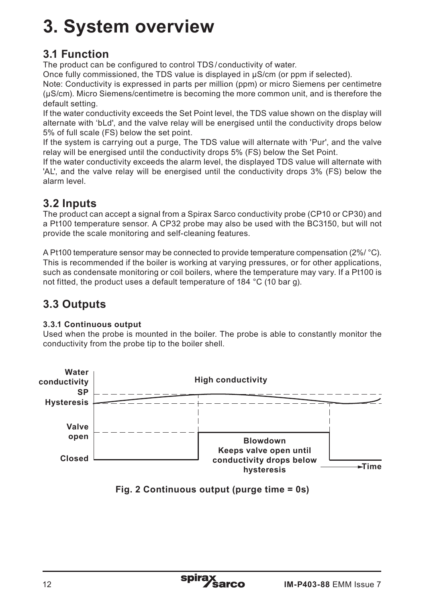# **3. System overview**

## **3.1 Function**

The product can be configured to control TDS/ conductivity of water.

Once fully commissioned, the TDS value is displayed in μS/cm (or ppm if selected).

Note: Conductivity is expressed in parts per million (ppm) or micro Siemens per centimetre (µS/cm). Micro Siemens/centimetre is becoming the more common unit, and is therefore the default setting.

If the water conductivity exceeds the Set Point level, the TDS value shown on the display will alternate with 'bLd', and the valve relay will be energised until the conductivity drops below 5% of full scale (FS) below the set point.

If the system is carrying out a purge, The TDS value will alternate with 'Pur', and the valve relay will be energised until the conductivity drops 5% (FS) below the Set Point.

If the water conductivity exceeds the alarm level, the displayed TDS value will alternate with 'AL', and the valve relay will be energised until the conductivity drops 3% (FS) below the alarm level.

# **3.2 Inputs**

The product can accept a signal from a Spirax Sarco conductivity probe (CP10 or CP30) and a Pt100 temperature sensor. A CP32 probe may also be used with the BC3150, but will not provide the scale monitoring and self-cleaning features.

A Pt100 temperature sensor may be connected to provide temperature compensation (2%/ °C). This is recommended if the boiler is working at varying pressures, or for other applications, such as condensate monitoring or coil boilers, where the temperature may vary. If a Pt100 is not fitted, the product uses a default temperature of 184 °C (10 bar g).

# **3.3 Outputs**

#### **3.3.1 Continuous output**

Used when the probe is mounted in the boiler. The probe is able to constantly monitor the conductivity from the probe tip to the boiler shell.



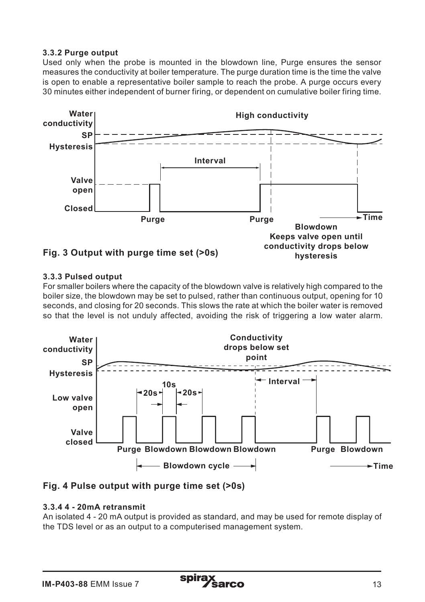#### **3.3.2 Purge output**

Used only when the probe is mounted in the blowdown line, Purge ensures the sensor measures the conductivity at boiler temperature. The purge duration time is the time the valve is open to enable a representative boiler sample to reach the probe. A purge occurs every 30 minutes either independent of burner firing, or dependent on cumulative boiler firing time.



#### **3.3.3 Pulsed output**

For smaller boilers where the capacity of the blowdown valve is relatively high compared to the boiler size, the blowdown may be set to pulsed, rather than continuous output, opening for 10 seconds, and closing for 20 seconds. This slows the rate at which the boiler water is removed so that the level is not unduly affected, avoiding the risk of triggering a low water alarm.





#### **3.3.4 4 - 20mA retransmit**

An isolated 4 - 20 mA output is provided as standard, and may be used for remote display of the TDS level or as an output to a computerised management system.

spira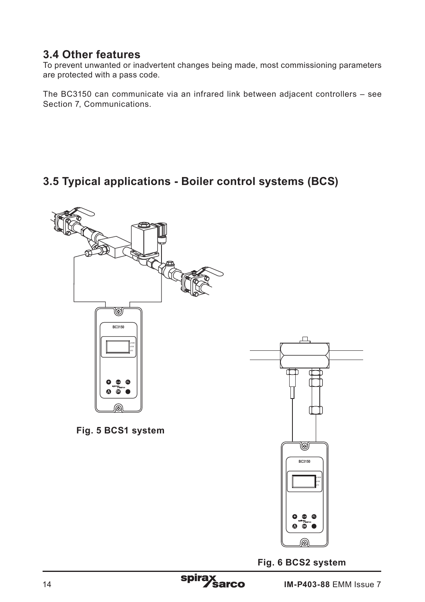## **3.4 Other features**

To prevent unwanted or inadvertent changes being made, most commissioning parameters are protected with a pass code.

The BC3150 can communicate via an infrared link between adjacent controllers – see Section 7, Communications.

## **3.5 Typical applications - Boiler control systems (BCS)**



**Fig. 6 BCS2 system**

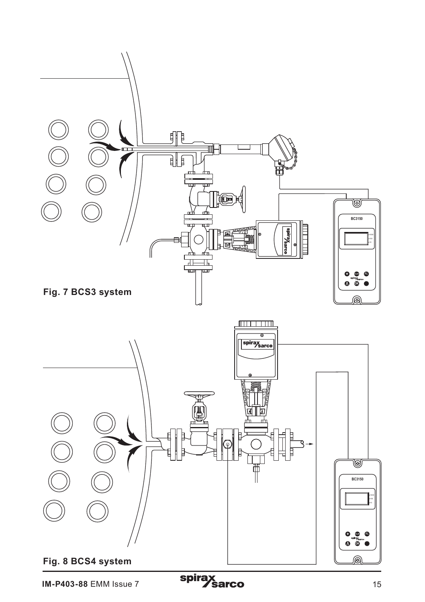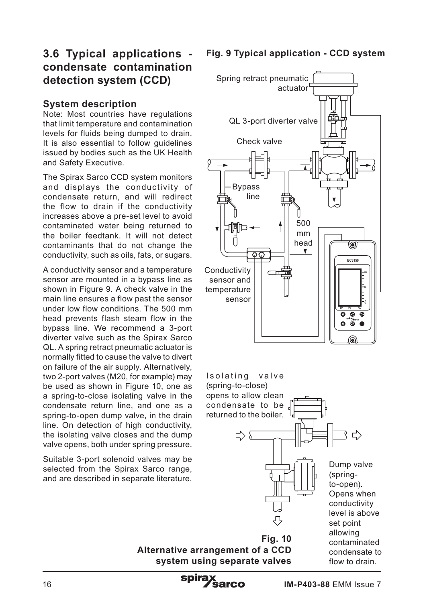## **3.6 Typical applications condensate contamination detection system (CCD)**

#### **System description**

Note: Most countries have regulations that limit temperature and contamination levels for fluids being dumped to drain. It is also essential to follow guidelines issued by bodies such as the UK Health and Safety Executive.

The Spirax Sarco CCD system monitors and displays the conductivity of condensate return, and will redirect the flow to drain if the conductivity increases above a pre-set level to avoid contaminated water being returned to the boiler feedtank. It will not detect contaminants that do not change the conductivity, such as oils, fats, or sugars.

A conductivity sensor and a temperature sensor are mounted in a bypass line as shown in Figure 9. A check valve in the main line ensures a flow past the sensor under low flow conditions. The 500 mm head prevents flash steam flow in the bypass line. We recommend a 3-port diverter valve such as the Spirax Sarco QL. A spring retract pneumatic actuator is normally fitted to cause the valve to divert on failure of the air supply. Alternatively, two 2-port valves (M20, for example) may be used as shown in Figure 10, one as a spring-to-close isolating valve in the condensate return line, and one as a spring-to-open dump valve, in the drain line. On detection of high conductivity, the isolating valve closes and the dump valve opens, both under spring pressure.

Suitable 3-port solenoid valves may be selected from the Spirax Sarco range. and are described in separate literature.

### **Fig. 9 Typical application - CCD system**



**Alternative arrangement of a CCD system using separate valves**

spira

flow to drain.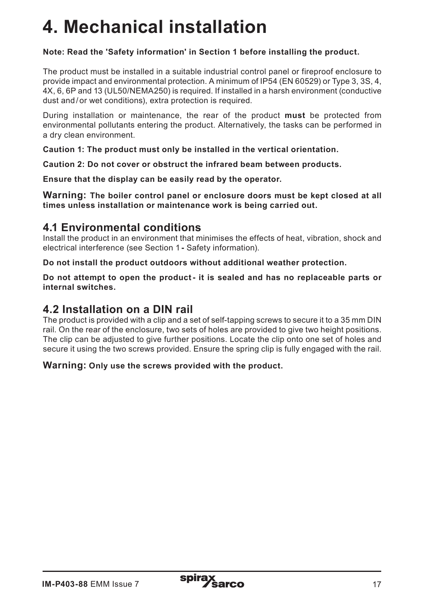# **4. Mechanical installation**

#### **Note: Read the 'Safety information' in Section 1 before installing the product.**

The product must be installed in a suitable industrial control panel or fireproof enclosure to provide impact and environmental protection. A minimum of IP54 (EN 60529) or Type 3, 3S, 4, 4X, 6, 6P and 13 (UL50/NEMA250) is required. If installed in a harsh environment (conductive dust and/or wet conditions), extra protection is required.

During installation or maintenance, the rear of the product **must** be protected from environmental pollutants entering the product. Alternatively, the tasks can be performed in a dry clean environment.

**Caution 1: The product must only be installed in the vertical orientation.**

**Caution 2: Do not cover or obstruct the infrared beam between products.**

**Ensure that the display can be easily read by the operator.**

**Warning: The boiler control panel or enclosure doors must be kept closed at all times unless installation or maintenance work is being carried out.**

#### **4.1 Environmental conditions**

Install the product in an environment that minimises the effects of heat, vibration, shock and electrical interference (see Section 1 **-** Safety information).

**Do not install the product outdoors without additional weather protection.**

**Do not attempt to open the product- it is sealed and has no replaceable parts or internal switches.**

## **4.2 Installation on a DIN rail**

The product is provided with a clip and a set of self-tapping screws to secure it to a 35 mm DIN rail. On the rear of the enclosure, two sets of holes are provided to give two height positions. The clip can be adjusted to give further positions. Locate the clip onto one set of holes and secure it using the two screws provided. Ensure the spring clip is fully engaged with the rail.

#### **Warning: Only use the screws provided with the product.**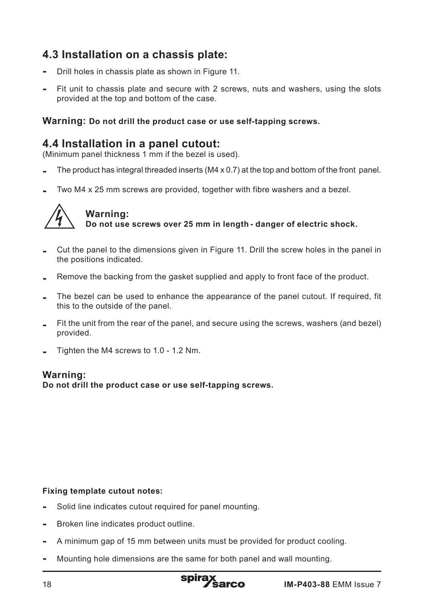## **4.3 Installation on a chassis plate:**

- Drill holes in chassis plate as shown in Figure 11.
- Fit unit to chassis plate and secure with 2 screws, nuts and washers, using the slots provided at the top and bottom of the case.

#### **Warning: Do not drill the product case or use self-tapping screws.**

## **4.4 Installation in a panel cutout:**

(Minimum panel thickness 1 mm if the bezel is used).

- The product has integral threaded inserts (M4 x 0.7) at the top and bottom of the front panel.
- Two M4 x 25 mm screws are provided, together with fibre washers and a bezel.



# **Warning:**

**Do not use screws over 25 mm in length - danger of electric shock.**

- Cut the panel to the dimensions given in Figure 11. Drill the screw holes in the panel in the positions indicated.
- Remove the backing from the gasket supplied and apply to front face of the product.
- The bezel can be used to enhance the appearance of the panel cutout. If required, fit this to the outside of the panel.
- Fit the unit from the rear of the panel, and secure using the screws, washers (and bezel) provided.
- Tighten the M4 screws to 1.0 1.2 Nm.

#### **Warning:**

**Do not drill the product case or use self-tapping screws.** 

#### **Fixing template cutout notes:**

- Solid line indicates cutout required for panel mounting.
- Broken line indicates product outline.
- A minimum gap of 15 mm between units must be provided for product cooling.
- Mounting hole dimensions are the same for both panel and wall mounting.

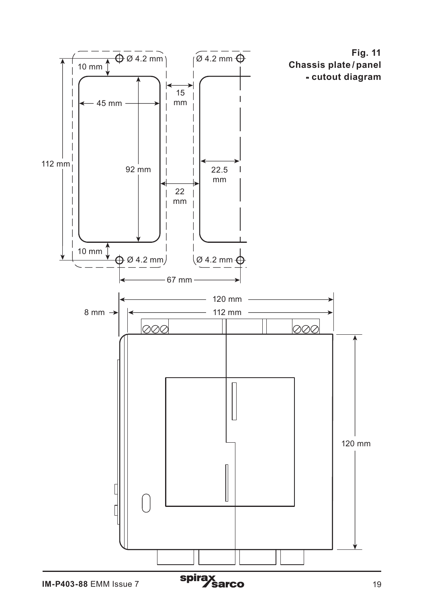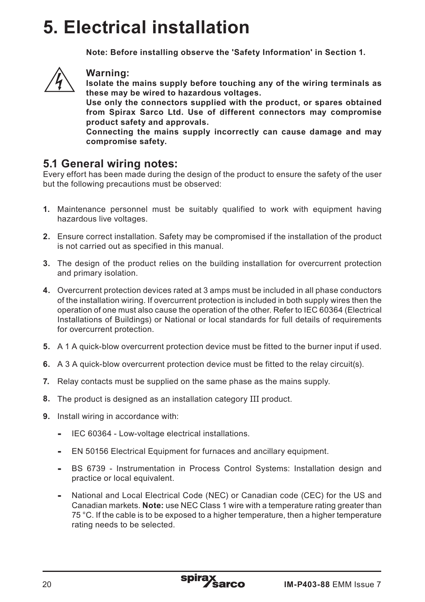# **5. Electrical installation**

**Note: Before installing observe the 'Safety Information' in Section 1.**



#### **Warning:**

**Isolate the mains supply before touching any of the wiring terminals as these may be wired to hazardous voltages.**

**Use only the connectors supplied with the product, or spares obtained from Spirax Sarco Ltd. Use of different connectors may compromise product safety and approvals.**

**Connecting the mains supply incorrectly can cause damage and may compromise safety.**

### **5.1 General wiring notes:**

Every effort has been made during the design of the product to ensure the safety of the user but the following precautions must be observed:

- **1.** Maintenance personnel must be suitably qualified to work with equipment having hazardous live voltages.
- **2.** Ensure correct installation. Safety may be compromised if the installation of the product is not carried out as specified in this manual.
- **3.** The design of the product relies on the building installation for overcurrent protection and primary isolation.
- **4.** Overcurrent protection devices rated at 3 amps must be included in all phase conductors of the installation wiring. If overcurrent protection is included in both supply wires then the operation of one must also cause the operation of the other. Refer to IEC 60364 (Electrical Installations of Buildings) or National or local standards for full details of requirements for overcurrent protection.
- **5.** A 1 A quick-blow overcurrent protection device must be fitted to the burner input if used.
- **6.** A 3 A quick-blow overcurrent protection device must be fitted to the relay circuit(s).
- **7.** Relay contacts must be supplied on the same phase as the mains supply.
- **8.** The product is designed as an installation category III product.
- **9.** Install wiring in accordance with:
	- **-** IEC 60364 Low-voltage electrical installations.
	- **-** EN 50156 Electrical Equipment for furnaces and ancillary equipment.
	- **-** BS 6739 Instrumentation in Process Control Systems: Installation design and practice or local equivalent.
	- **-** National and Local Electrical Code (NEC) or Canadian code (CEC) for the US and Canadian markets. **Note:** use NEC Class 1 wire with a temperature rating greater than 75 °C. If the cable is to be exposed to a higher temperature, then a higher temperature rating needs to be selected.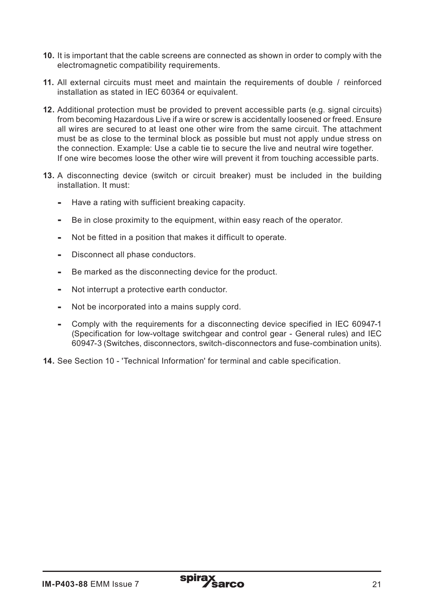- **10.** It is important that the cable screens are connected as shown in order to comply with the electromagnetic compatibility requirements.
- **11.** All external circuits must meet and maintain the requirements of double / reinforced installation as stated in IEC 60364 or equivalent.
- **12.** Additional protection must be provided to prevent accessible parts (e.g. signal circuits) from becoming Hazardous Live if a wire or screw is accidentally loosened or freed. Ensure all wires are secured to at least one other wire from the same circuit. The attachment must be as close to the terminal block as possible but must not apply undue stress on the connection. Example: Use a cable tie to secure the live and neutral wire together. If one wire becomes loose the other wire will prevent it from touching accessible parts.
- **13.** A disconnecting device (switch or circuit breaker) must be included in the building installation. It must:
	- **-** Have a rating with sufficient breaking capacity.
	- **-** Be in close proximity to the equipment, within easy reach of the operator.
	- **-** Not be fitted in a position that makes it difficult to operate.
	- **-** Disconnect all phase conductors.
	- **-** Be marked as the disconnecting device for the product.
	- **-** Not interrupt a protective earth conductor.
	- **-** Not be incorporated into a mains supply cord.
	- **-** Comply with the requirements for a disconnecting device specified in IEC 60947-1 (Specification for low-voltage switchgear and control gear - General rules) and IEC 60947-3 (Switches, disconnectors, switch-disconnectors and fuse-combination units).
- **14.** See Section 10 'Technical Information' for terminal and cable specification.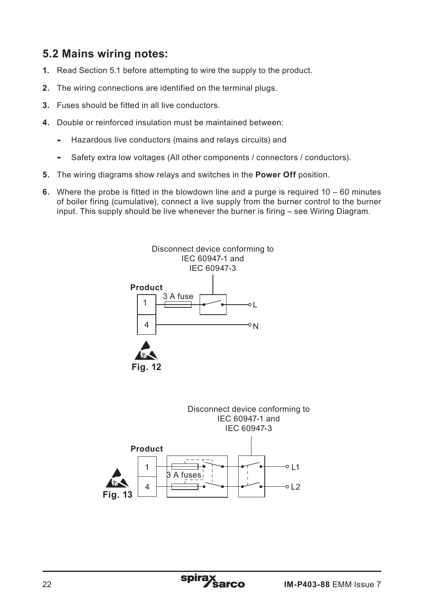## **5.2 Mains wiring notes:**

- **1.** Read Section 5.1 before attempting to wire the supply to the product.
- **2.** The wiring connections are identified on the terminal plugs.
- **3.** Fuses should be fitted in all live conductors.
- **4.** Double or reinforced insulation must be maintained between:
	- **-** Hazardous live conductors (mains and relays circuits) and
	- **-** Safety extra low voltages (All other components / connectors / conductors).
- **5.** The wiring diagrams show relays and switches in the **Power Off** position.
- **6.** Where the probe is fitted in the blowdown line and a purge is required 10 60 minutes of boiler firing (cumulative), connect a live supply from the burner control to the burner input. This supply should be live whenever the burner is firing – see Wiring Diagram.

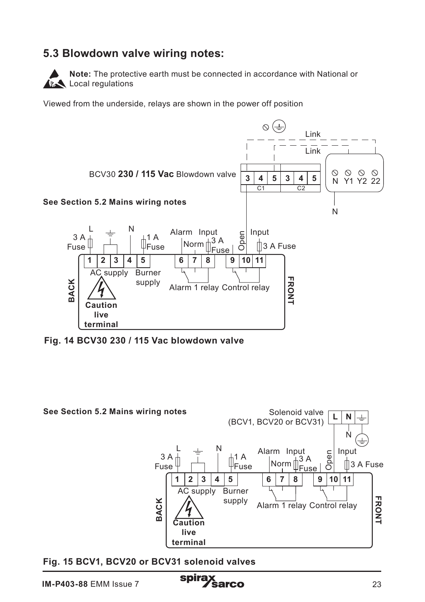## **5.3 Blowdown valve wiring notes:**



**Note:** The protective earth must be connected in accordance with National or **Local regulations** 

Viewed from the underside, relays are shown in the power off position



**Fig. 14 BCV30 230 / 115 Vac blowdown valve** 



**Fig. 15 BCV1, BCV20 or BCV31 solenoid valves**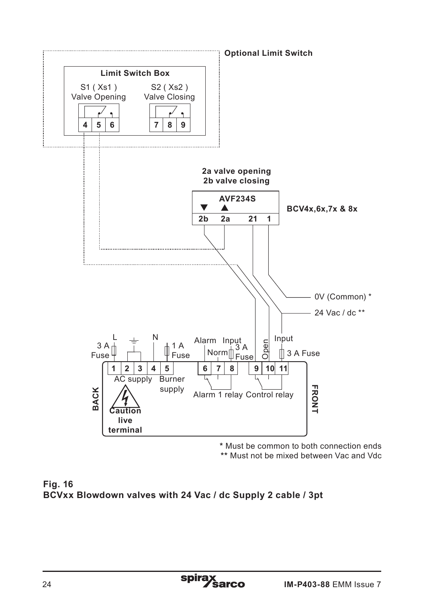

**\*** Must be common to both connection ends

**\*\*** Must not be mixed between Vac and Vdc

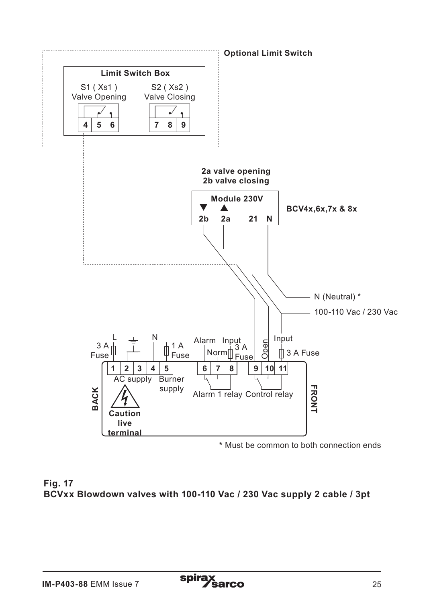

**\*** Must be common to both connection ends

**Fig. 17 BCVxx Blowdown valves with 100-110 Vac / 230 Vac supply 2 cable / 3pt**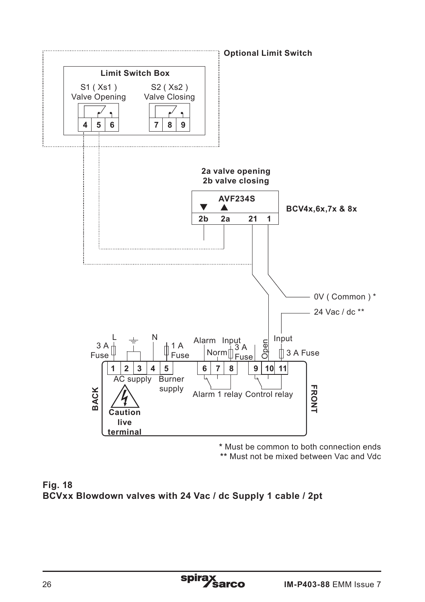

**\*** Must be common to both connection ends

**\*\*** Must not be mixed between Vac and Vdc

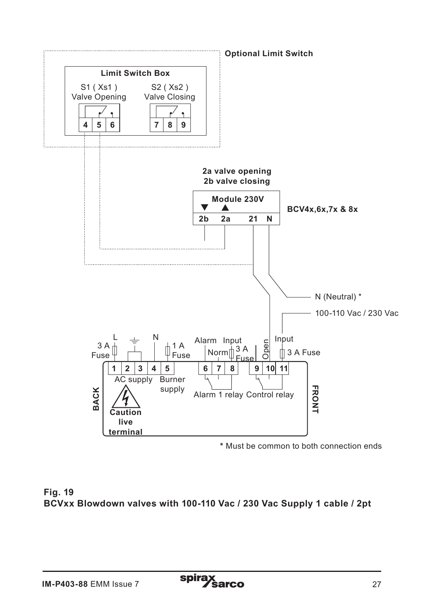

**\*** Must be common to both connection ends

**Fig. 19 BCVxx Blowdown valves with 100-110 Vac / 230 Vac Supply 1 cable / 2pt**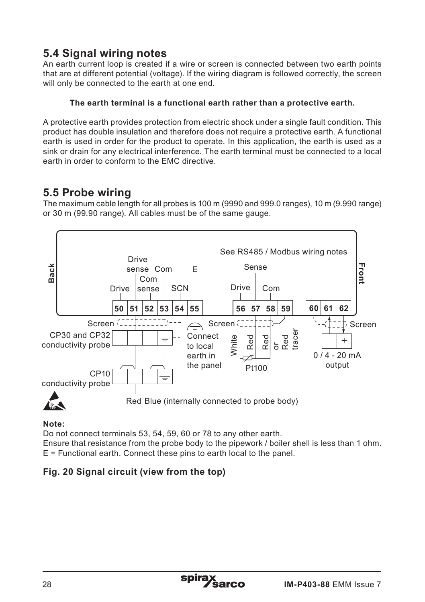# **5.4 Signal wiring notes**

An earth current loop is created if a wire or screen is connected between two earth points that are at different potential (voltage). If the wiring diagram is followed correctly, the screen will only be connected to the earth at one end.

#### **The earth terminal is a functional earth rather than a protective earth.**

A protective earth provides protection from electric shock under a single fault condition. This product has double insulation and therefore does not require a protective earth. A functional earth is used in order for the product to operate. In this application, the earth is used as a sink or drain for any electrical interference. The earth terminal must be connected to a local earth in order to conform to the EMC directive.

## **5.5 Probe wiring**

The maximum cable length for all probes is 100 m (9990 and 999.0 ranges), 10 m (9.990 range) or 30 m (99.90 range). All cables must be of the same gauge.



**Note:** 

Do not connect terminals 53, 54, 59, 60 or 78 to any other earth.

Ensure that resistance from the probe body to the pipework / boiler shell is less than 1 ohm. E = Functional earth. Connect these pins to earth local to the panel.

### **Fig. 20 Signal circuit (view from the top)**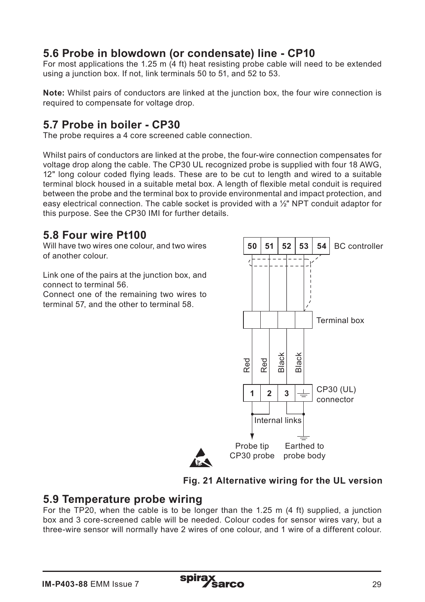## **5.6 Probe in blowdown (or condensate) line - CP10**

For most applications the 1.25 m  $(4 \text{ ft})$  heat resisting probe cable will need to be extended using a junction box. If not, link terminals 50 to 51, and 52 to 53.

**Note:** Whilst pairs of conductors are linked at the junction box, the four wire connection is required to compensate for voltage drop.

## **5.7 Probe in boiler - CP30**

The probe requires a 4 core screened cable connection.

Whilst pairs of conductors are linked at the probe, the four-wire connection compensates for voltage drop along the cable. The CP30 UL recognized probe is supplied with four 18 AWG, 12" long colour coded flying leads. These are to be cut to length and wired to a suitable terminal block housed in a suitable metal box. A length of flexible metal conduit is required between the probe and the terminal box to provide environmental and impact protection, and easy electrical connection. The cable socket is provided with a  $\frac{1}{2}$ " NPT conduit adaptor for this purpose. See the CP30 IMI for further details.

## **5.8 Four wire Pt100**

Will have two wires one colour, and two wires of another colour.

Link one of the pairs at the junction box, and connect to terminal 56.

Connect one of the remaining two wires to terminal 57, and the other to terminal 58.



#### **Fig. 21 Alternative wiring for the UL version**

#### **5.9 Temperature probe wiring**

For the TP20, when the cable is to be longer than the 1.25 m (4 ft) supplied, a junction box and 3 core-screened cable will be needed. Colour codes for sensor wires vary, but a three-wire sensor will normally have 2 wires of one colour, and 1 wire of a different colour.

spira: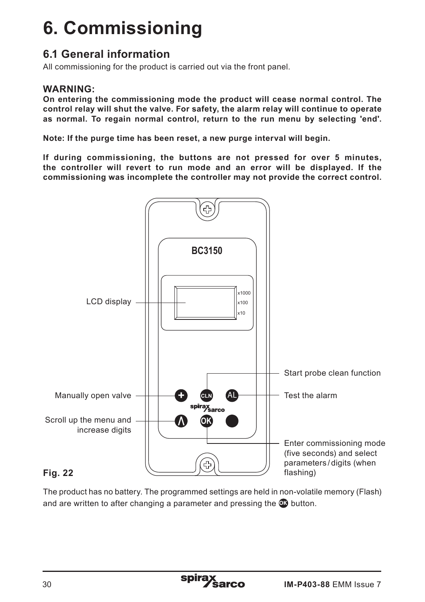# **6. Commissioning**

## **6.1 General information**

All commissioning for the product is carried out via the front panel.

#### **WARNING:**

**On entering the commissioning mode the product will cease normal control. The control relay will shut the valve. For safety, the alarm relay will continue to operate as normal. To regain normal control, return to the run menu by selecting 'end'.**

**Note: If the purge time has been reset, a new purge interval will begin.**

**If during commissioning, the buttons are not pressed for over 5 minutes, the controller will revert to run mode and an error will be displayed. If the commissioning was incomplete the controller may not provide the correct control.**



#### **Fig. 22**

The product has no battery. The programmed settings are held in non-volatile memory (Flash) and are written to after changing a parameter and pressing the **OK** button.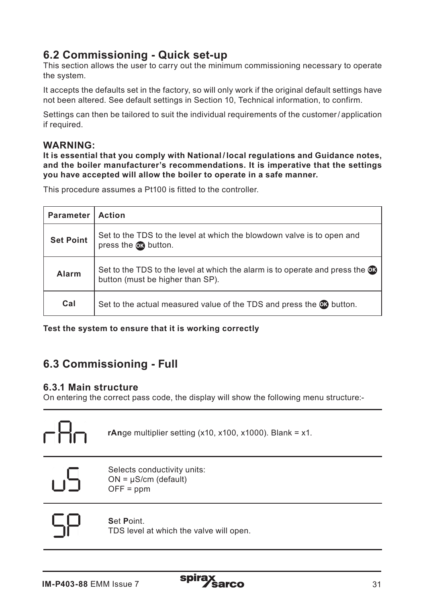## **6.2 Commissioning - Quick set-up**

This section allows the user to carry out the minimum commissioning necessary to operate the system.

It accepts the defaults set in the factory, so will only work if the original default settings have not been altered. See default settings in Section 10, Technical information, to confirm.

Settings can then be tailored to suit the individual requirements of the customer/ application if required.

#### **WARNING:**

**It is essential that you comply with National / local regulations and Guidance notes, and the boiler manufacturer's recommendations. It is imperative that the settings you have accepted will allow the boiler to operate in a safe manner.**

This procedure assumes a Pt100 is fitted to the controller.

| <b>Parameter</b> | <b>Action</b>                                                                                                                |
|------------------|------------------------------------------------------------------------------------------------------------------------------|
| <b>Set Point</b> | Set to the TDS to the level at which the blowdown valve is to open and<br>press the on button.                               |
| Alarm            | Set to the TDS to the level at which the alarm is to operate and press the $\circled{3}$<br>button (must be higher than SP). |
| Cal              | Set to the actual measured value of the TDS and press the <b>OG</b> button.                                                  |

**Test the system to ensure that it is working correctly**

## **6.3 Commissioning - Full**

#### **6.3.1 Main structure**

On entering the correct pass code, the display will show the following menu structure:-



 $ON = \mu S/cm$  (default)  $OFF = ppm$ 



#### **S**et **P**oint.

TDS level at which the valve will open.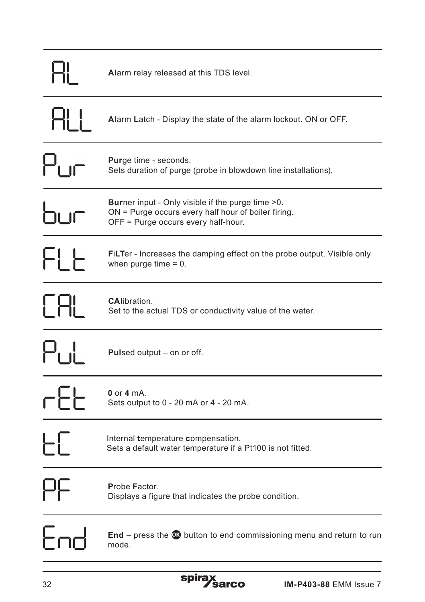|                                      | Alarm relay released at this TDS level.                                                                                                                   |
|--------------------------------------|-----------------------------------------------------------------------------------------------------------------------------------------------------------|
| <b>HLI</b>                           | <b>Alarm Latch - Display the state of the alarm lockout. ON or OFF.</b>                                                                                   |
| $\mathsf{P}_{\mathsf{L},\mathsf{f}}$ | <b>Purge time - seconds.</b><br>Sets duration of purge (probe in blowdown line installations).                                                            |
| זו ור                                | <b>Burner input - Only visible if the purge time &gt;0.</b><br>ON = Purge occurs every half hour of boiler firing.<br>OFF = Purge occurs every half-hour. |
| FI F                                 | <b>FiLTer</b> - Increases the damping effect on the probe output. Visible only<br>when purge time $= 0$ .                                                 |
| <b>TAL</b>                           | <b>CAlibration.</b><br>Set to the actual TDS or conductivity value of the water.                                                                          |
| Pul                                  | <b>Pulsed output – on or off.</b>                                                                                                                         |
| cFF                                  | $0$ or $4$ mA.<br>Sets output to 0 - 20 mA or 4 - 20 mA.                                                                                                  |
| EC                                   | Internal temperature compensation.<br>Sets a default water temperature if a Pt100 is not fitted.                                                          |
| Цļ                                   | Probe Factor.<br>Displays a figure that indicates the probe condition.                                                                                    |
|                                      | $\text{End}$ – press the $\textcircled{w}$ button to end commissioning menu and return to run<br>mode.                                                    |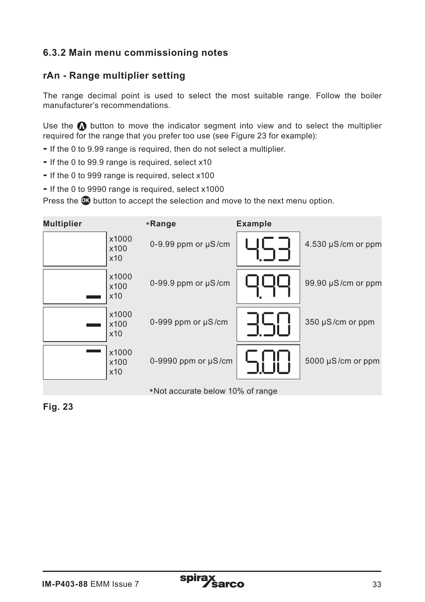### **6.3.2 Main menu commissioning notes**

#### **rAn - Range multiplier setting**

The range decimal point is used to select the most suitable range. Follow the boiler manufacturer's recommendations.

Use the  $\Omega$  button to move the indicator segment into view and to select the multiplier required for the range that you prefer too use (see Figure 23 for example):

- If the 0 to 9.99 range is required, then do not select a multiplier.
- If the 0 to 99.9 range is required, select x10
- If the 0 to 999 range is required, select x100
- If the 0 to 9990 range is required, select x1000

Press the  $\omega$  button to accept the selection and move to the next menu option.

| <b>Multiplier</b> |                      | *Range                           | <b>Example</b> |                         |
|-------------------|----------------------|----------------------------------|----------------|-------------------------|
|                   | x1000<br>x100<br>x10 | 0-9.99 ppm or $\mu$ S/cm         |                | $4.530 \mu S/cm$ or ppm |
|                   | x1000<br>x100<br>x10 | $0-99.9$ ppm or $\mu$ S/cm       |                | 99.90 $\mu$ S/cm or ppm |
|                   | x1000<br>x100<br>x10 | 0-999 ppm or $\mu$ S/cm          |                | 350 µS/cm or ppm        |
|                   | x1000<br>x100<br>x10 | 0-9990 ppm or $\mu$ S/cm         |                | 5000 µS/cm or ppm       |
|                   |                      | *Not accurate below 10% of range |                |                         |

**Fig. 23**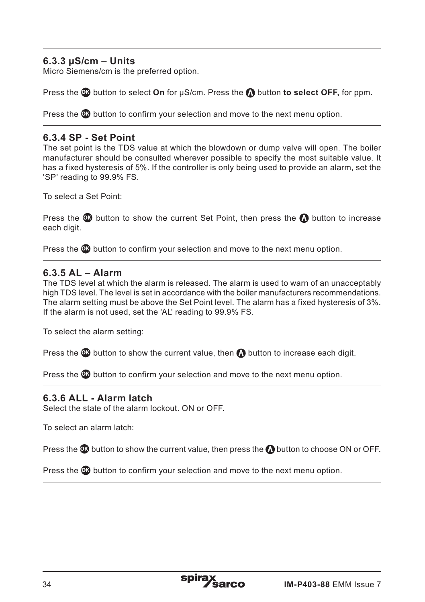#### **6.3.3 µS/cm – Units**

Micro Siemens/cm is the preferred option.

Press the **OB** button to select **On** for  $\mu$ S/cm. Press the **O** button to select OFF, for ppm.

Press the **OK** button to confirm your selection and move to the next menu option.

#### **6.3.4 SP - Set Point**

The set point is the TDS value at which the blowdown or dump valve will open. The boiler manufacturer should be consulted wherever possible to specify the most suitable value. It has a fixed hysteresis of 5%. If the controller is only being used to provide an alarm, set the 'SP' reading to 99.9% FS.

To select a Set Point:

Press the  $\mathbf{w}$  button to show the current Set Point, then press the  $\mathbf{w}$  button to increase each digit.

Press the **<sup>O</sup>** button to confirm your selection and move to the next menu option.

#### **6.3.5 AL – Alarm**

The TDS level at which the alarm is released. The alarm is used to warn of an unacceptably high TDS level. The level is set in accordance with the boiler manufacturers recommendations. The alarm setting must be above the Set Point level. The alarm has a fixed hysteresis of 3%. If the alarm is not used, set the 'AL' reading to 99.9% FS.

To select the alarm setting:

Press the  $\mathbf{\Omega}$  button to show the current value, then  $\boldsymbol{\Omega}$  button to increase each digit.

Press the **OK** button to confirm your selection and move to the next menu option.

#### **6.3.6 ALL - Alarm latch**

Select the state of the alarm lockout. ON or OFF.

To select an alarm latch:

Press the **CC** button to show the current value, then press the **O** button to choose ON or OFF.

Press the **OK** button to confirm your selection and move to the next menu option.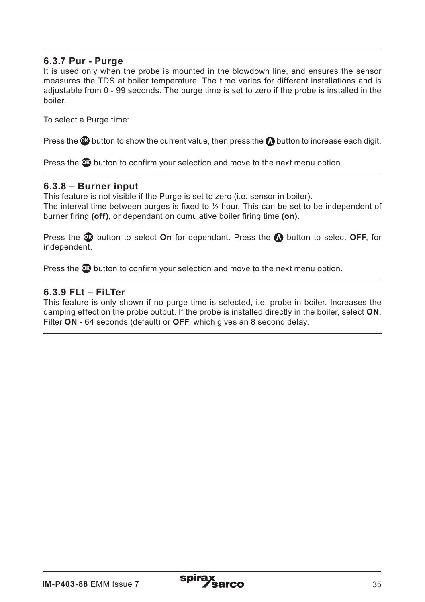#### **6.3.7 Pur - Purge**

It is used only when the probe is mounted in the blowdown line, and ensures the sensor measures the TDS at boiler temperature. The time varies for different installations and is adjustable from 0 - 99 seconds. The purge time is set to zero if the probe is installed in the boiler.

To select a Purge time:

Press the  $\omega$  button to show the current value, then press the  $\Omega$  button to increase each digit.

Press the **OK** button to confirm your selection and move to the next menu option.

#### **6.3.8 – Burner input**

This feature is not visible if the Purge is set to zero (i.e. sensor in boiler). The interval time between purges is fixed to  $\frac{1}{2}$  hour. This can be set to be independent of burner firing **(off)**, or dependant on cumulative boiler firing time **(on)**.

Press the **OB** button to select **On** for dependant. Press the **O** button to select **OFF**, for independent.

Press the **OK** button to confirm your selection and move to the next menu option.

#### **6.3.9 FLt – FiLTer**

This feature is only shown if no purge time is selected, i.e. probe in boiler. Increases the damping effect on the probe output. If the probe is installed directly in the boiler, select **ON**. Filter **ON** - 64 seconds (default) or **OFF**, which gives an 8 second delay.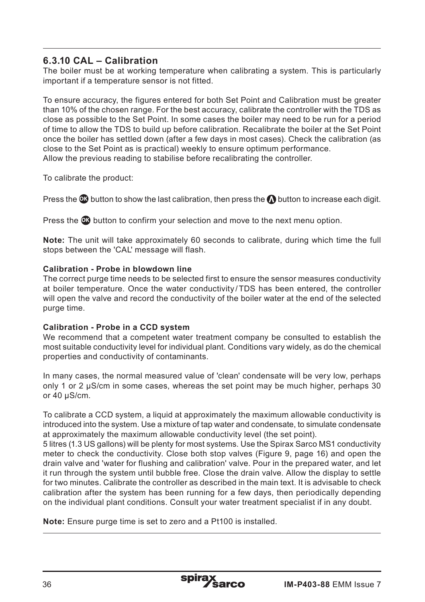#### **6.3.10 CAL – Calibration**

The boiler must be at working temperature when calibrating a system. This is particularly important if a temperature sensor is not fitted.

To ensure accuracy, the figures entered for both Set Point and Calibration must be greater than 10% of the chosen range. For the best accuracy, calibrate the controller with the TDS as close as possible to the Set Point. In some cases the boiler may need to be run for a period of time to allow the TDS to build up before calibration. Recalibrate the boiler at the Set Point once the boiler has settled down (after a few days in most cases). Check the calibration (as close to the Set Point as is practical) weekly to ensure optimum performance. Allow the previous reading to stabilise before recalibrating the controller.

To calibrate the product:

Press the **OC** button to show the last calibration, then press the **OC** button to increase each digit.

Press the **OK** button to confirm your selection and move to the next menu option.

**Note:** The unit will take approximately 60 seconds to calibrate, during which time the full stops between the 'CAL' message will flash.

#### **Calibration - Probe in blowdown line**

The correct purge time needs to be selected first to ensure the sensor measures conductivity at boiler temperature. Once the water conductivity /TDS has been entered, the controller will open the valve and record the conductivity of the boiler water at the end of the selected purge time.

#### **Calibration - Probe in a CCD system**

We recommend that a competent water treatment company be consulted to establish the most suitable conductivity level for individual plant. Conditions vary widely, as do the chemical properties and conductivity of contaminants.

In many cases, the normal measured value of 'clean' condensate will be very low, perhaps only 1 or 2  $\mu$ S/cm in some cases, whereas the set point may be much higher, perhaps 30 or  $40 \text{ uS/cm}$ .

To calibrate a CCD system, a liquid at approximately the maximum allowable conductivity is introduced into the system. Use a mixture of tap water and condensate, to simulate condensate at approximately the maximum allowable conductivity level (the set point).

5 litres (1.3 US gallons) will be plenty for most systems. Use the Spirax Sarco MS1 conductivity meter to check the conductivity. Close both stop valves (Figure 9, page 16) and open the drain valve and 'water for flushing and calibration' valve. Pour in the prepared water, and let it run through the system until bubble free. Close the drain valve. Allow the display to settle for two minutes. Calibrate the controller as described in the main text. It is advisable to check. calibration after the system has been running for a few days, then periodically depending on the individual plant conditions. Consult your water treatment specialist if in any doubt.

**Note:** Ensure purge time is set to zero and a Pt100 is installed.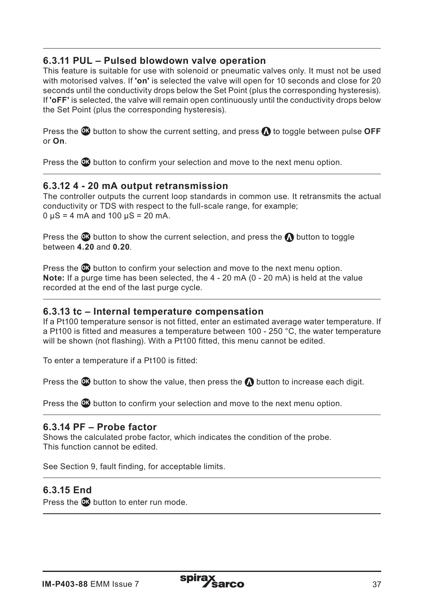#### **6.3.11 PUL – Pulsed blowdown valve operation**

This feature is suitable for use with solenoid or pneumatic valves only. It must not be used with motorised valves. If **'on'** is selected the valve will open for 10 seconds and close for 20 seconds until the conductivity drops below the Set Point (plus the corresponding hysteresis). If **'oFF'** is selected, the valve will remain open continuously until the conductivity drops below the Set Point (plus the corresponding hysteresis).

Press the **<sup>O</sup>** button to show the current setting, and press **O** to toggle between pulse OFF or **On**.

Press the **OK** button to confirm your selection and move to the next menu option.

#### **6.3.12 4 - 20 mA output retransmission**

The controller outputs the current loop standards in common use. It retransmits the actual conductivity or TDS with respect to the full-scale range, for example;  $0 \mu S = 4$  mA and  $100 \mu S = 20$  mA.

Press the  $\Omega$  button to show the current selection, and press the  $\Omega$  button to toggle between **4.20** and **0.20**.

Press the **OK** button to confirm your selection and move to the next menu option. **Note:** If a purge time has been selected, the 4 - 20 mA (0 - 20 mA) is held at the value recorded at the end of the last purge cycle.

#### **6.3.13 tc – Internal temperature compensation**

If a Pt100 temperature sensor is not fitted, enter an estimated average water temperature. If a Pt100 is fitted and measures a temperature between 100 - 250 °C, the water temperature will be shown (not flashing). With a Pt100 fitted, this menu cannot be edited.

To enter a temperature if a Pt100 is fitted:

Press the  $\omega$  button to show the value, then press the  $\Omega$  button to increase each digit.

Press the **OC** button to confirm your selection and move to the next menu option.

#### **6.3.14 PF – Probe factor**

Shows the calculated probe factor, which indicates the condition of the probe. This function cannot be edited.

See Section 9, fault finding, for acceptable limits.

#### **6.3.15 End**

Press the **OK** button to enter run mode.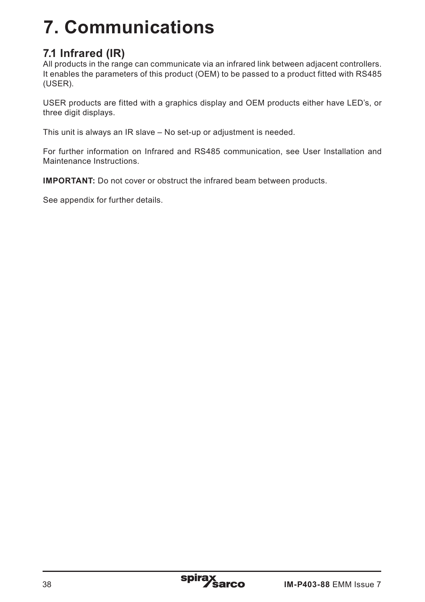# **7. Communications**

# **7.1 Infrared (IR)**

All products in the range can communicate via an infrared link between adjacent controllers. It enables the parameters of this product (OEM) to be passed to a product fitted with RS485 (USER).

USER products are fitted with a graphics display and OEM products either have LED's, or three digit displays.

This unit is always an IR slave – No set-up or adjustment is needed.

For further information on Infrared and RS485 communication, see User Installation and Maintenance Instructions.

**IMPORTANT:** Do not cover or obstruct the infrared beam between products.

See appendix for further details.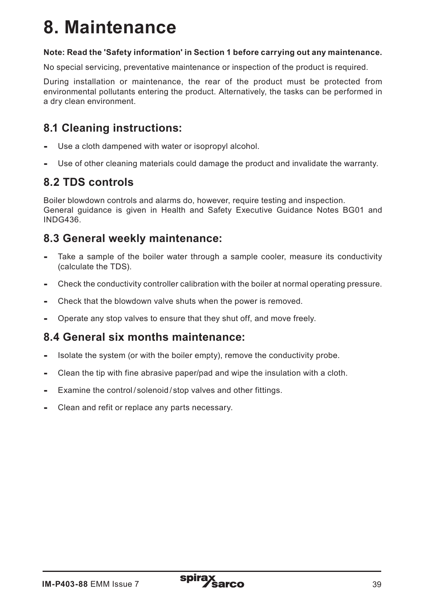# **8. Maintenance**

#### **Note: Read the 'Safety information' in Section 1 before carrying out any maintenance.**

No special servicing, preventative maintenance or inspection of the product is required.

During installation or maintenance, the rear of the product must be protected from environmental pollutants entering the product. Alternatively, the tasks can be performed in a dry clean environment.

## **8.1 Cleaning instructions:**

- Use a cloth dampened with water or isopropyl alcohol.
- Use of other cleaning materials could damage the product and invalidate the warranty.

## **8.2 TDS controls**

Boiler blowdown controls and alarms do, however, require testing and inspection. General guidance is given in Health and Safety Executive Guidance Notes BG01 and INDG436.

## **8.3 General weekly maintenance:**

- Take a sample of the boiler water through a sample cooler, measure its conductivity (calculate the TDS).
- Check the conductivity controller calibration with the boiler at normal operating pressure.
- Check that the blowdown valve shuts when the power is removed.
- Operate any stop valves to ensure that they shut off, and move freely.

## **8.4 General six months maintenance:**

- Isolate the system (or with the boiler empty), remove the conductivity probe.
- Clean the tip with fine abrasive paper/pad and wipe the insulation with a cloth.
- Examine the control / solenoid / stop valves and other fittings.
- Clean and refit or replace any parts necessary.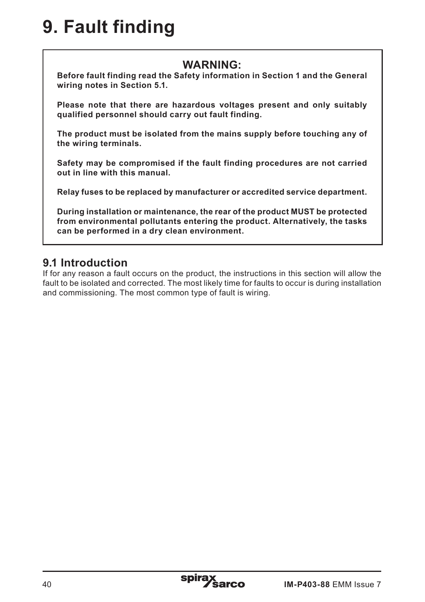# **9. Fault finding**

## **WARNING:**

**Before fault finding read the Safety information in Section 1 and the General wiring notes in Section 5.1.**

**Please note that there are hazardous voltages present and only suitably qualified personnel should carry out fault finding.**

**The product must be isolated from the mains supply before touching any of the wiring terminals.**

**Safety may be compromised if the fault finding procedures are not carried out in line with this manual.**

**Relay fuses to be replaced by manufacturer or accredited service department.**

**During installation or maintenance, the rear of the product MUST be protected from environmental pollutants entering the product. Alternatively, the tasks can be performed in a dry clean environment.**

## **9.1 Introduction**

If for any reason a fault occurs on the product, the instructions in this section will allow the fault to be isolated and corrected. The most likely time for faults to occur is during installation and commissioning. The most common type of fault is wiring.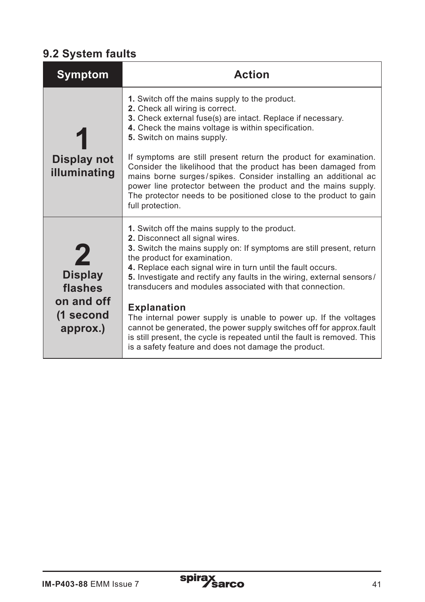# **9.2 System faults**

| Symptom                                                          | <b>Action</b>                                                                                                                                                                                                                                                                                                                                                                                                                                                                                                                                                                                                                                                                                       |
|------------------------------------------------------------------|-----------------------------------------------------------------------------------------------------------------------------------------------------------------------------------------------------------------------------------------------------------------------------------------------------------------------------------------------------------------------------------------------------------------------------------------------------------------------------------------------------------------------------------------------------------------------------------------------------------------------------------------------------------------------------------------------------|
| <b>Display not</b><br>illuminating                               | 1. Switch off the mains supply to the product.<br>2. Check all wiring is correct.<br>3. Check external fuse(s) are intact. Replace if necessary.<br>4. Check the mains voltage is within specification.<br>5. Switch on mains supply.<br>If symptoms are still present return the product for examination.<br>Consider the likelihood that the product has been damaged from<br>mains borne surges/spikes. Consider installing an additional ac<br>power line protector between the product and the mains supply.<br>The protector needs to be positioned close to the product to gain<br>full protection.                                                                                          |
| <b>Display</b><br>flashes<br>on and off<br>(1 second<br>approx.) | 1. Switch off the mains supply to the product.<br>2. Disconnect all signal wires.<br>3. Switch the mains supply on: If symptoms are still present, return<br>the product for examination.<br>4. Replace each signal wire in turn until the fault occurs.<br>5. Investigate and rectify any faults in the wiring, external sensors/<br>transducers and modules associated with that connection.<br><b>Explanation</b><br>The internal power supply is unable to power up. If the voltages<br>cannot be generated, the power supply switches off for approx.fault<br>is still present, the cycle is repeated until the fault is removed. This<br>is a safety feature and does not damage the product. |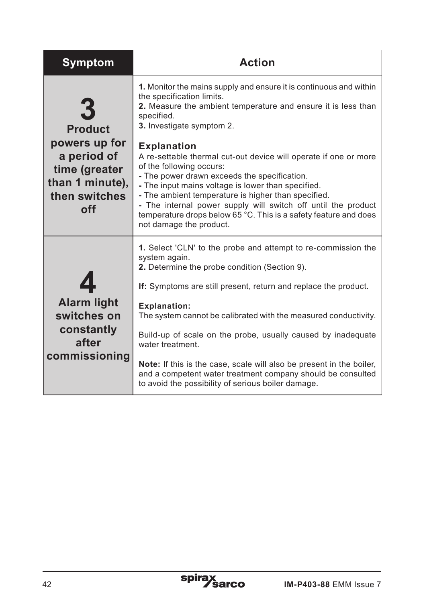| Symptom                                                                                                           | <b>Action</b>                                                                                                                                                                                                                                                                                                                                                                                                                                                                                                                                                                                                                                                  |
|-------------------------------------------------------------------------------------------------------------------|----------------------------------------------------------------------------------------------------------------------------------------------------------------------------------------------------------------------------------------------------------------------------------------------------------------------------------------------------------------------------------------------------------------------------------------------------------------------------------------------------------------------------------------------------------------------------------------------------------------------------------------------------------------|
| <b>Product</b><br>powers up for<br>a period of<br>time (greater<br>than 1 minute),<br>then switches<br><b>off</b> | 1. Monitor the mains supply and ensure it is continuous and within<br>the specification limits.<br>2. Measure the ambient temperature and ensure it is less than<br>specified.<br>3. Investigate symptom 2.<br><b>Explanation</b><br>A re-settable thermal cut-out device will operate if one or more<br>of the following occurs:<br>- The power drawn exceeds the specification.<br>- The input mains voltage is lower than specified.<br>- The ambient temperature is higher than specified.<br>- The internal power supply will switch off until the product<br>temperature drops below 65 °C. This is a safety feature and does<br>not damage the product. |
| $\blacktriangle$<br><b>Alarm light</b><br>switches on<br>constantly<br>after<br>commissioning                     | 1. Select 'CLN' to the probe and attempt to re-commission the<br>system again.<br>2. Determine the probe condition (Section 9).<br>If: Symptoms are still present, return and replace the product.<br><b>Explanation:</b><br>The system cannot be calibrated with the measured conductivity.<br>Build-up of scale on the probe, usually caused by inadequate<br>water treatment.<br><b>Note:</b> If this is the case, scale will also be present in the boiler,<br>and a competent water treatment company should be consulted<br>to avoid the possibility of serious boiler damage.                                                                           |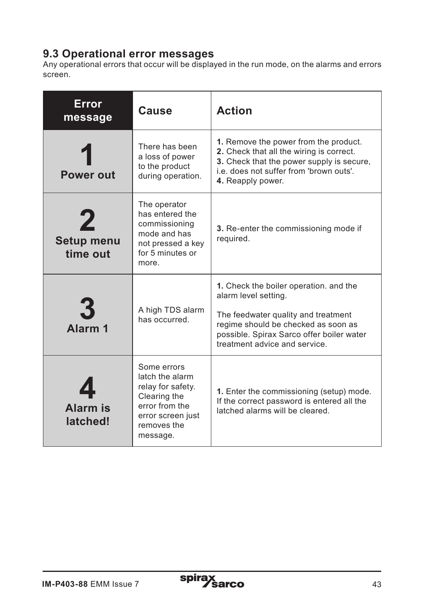# **9.3 Operational error messages**

Any operational errors that occur will be displayed in the run mode, on the alarms and errors screen.

| Error<br>message                   | <b>Cause</b>                                                                                                                          | <b>Action</b>                                                                                                                                                                                                              |
|------------------------------------|---------------------------------------------------------------------------------------------------------------------------------------|----------------------------------------------------------------------------------------------------------------------------------------------------------------------------------------------------------------------------|
| Power out                          | There has been<br>a loss of power<br>to the product<br>during operation.                                                              | 1. Remove the power from the product.<br>2. Check that all the wiring is correct.<br>3. Check that the power supply is secure,<br>i.e. does not suffer from 'brown outs'.<br>4. Reapply power.                             |
| 2<br><b>Setup menu</b><br>time out | The operator<br>has entered the<br>commissioning<br>mode and has<br>not pressed a key<br>for 5 minutes or<br>more                     | 3. Re-enter the commissioning mode if<br>required.                                                                                                                                                                         |
| 3<br>Alarm <sub>1</sub>            | A high TDS alarm<br>has occurred.                                                                                                     | 1. Check the boiler operation, and the<br>alarm level setting.<br>The feedwater quality and treatment<br>regime should be checked as soon as<br>possible. Spirax Sarco offer boiler water<br>treatment advice and service. |
| <b>Alarm</b> is<br>latched!        | Some errors<br>latch the alarm<br>relay for safety.<br>Clearing the<br>error from the<br>error screen just<br>removes the<br>message. | 1. Enter the commissioning (setup) mode.<br>If the correct password is entered all the<br>latched alarms will be cleared                                                                                                   |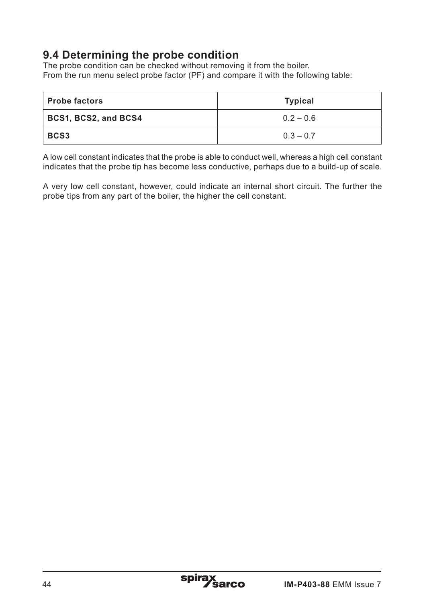## **9.4 Determining the probe condition**

The probe condition can be checked without removing it from the boiler. From the run menu select probe factor (PF) and compare it with the following table:

| <b>Probe factors</b>        | Typical     |
|-----------------------------|-------------|
| <b>BCS1, BCS2, and BCS4</b> | $0.2 - 0.6$ |
| <b>BCS3</b>                 | $0.3 - 0.7$ |

A low cell constant indicates that the probe is able to conduct well, whereas a high cell constant indicates that the probe tip has become less conductive, perhaps due to a build-up of scale.

A very low cell constant, however, could indicate an internal short circuit. The further the probe tips from any part of the boiler, the higher the cell constant.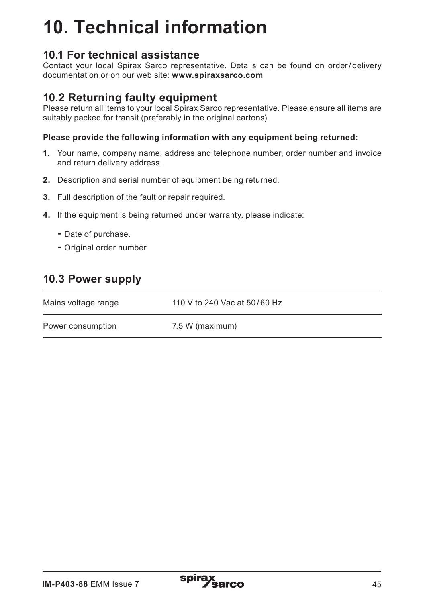# **10. Technical information**

## **10.1 For technical assistance**

Contact your local Spirax Sarco representative. Details can be found on order/ delivery documentation or on our web site: **www.spiraxsarco.com** 

## **10.2 Returning faulty equipment**

Please return all items to your local Spirax Sarco representative. Please ensure all items are suitably packed for transit (preferably in the original cartons).

#### **Please provide the following information with any equipment being returned:**

- **1.** Your name, company name, address and telephone number, order number and invoice and return delivery address.
- **2.** Description and serial number of equipment being returned.
- **3.** Full description of the fault or repair required.
- **4.** If the equipment is being returned under warranty, please indicate:
	- Date of purchase.
	- Original order number.

## **10.3 Power supply**

| Mains voltage range | 110 V to 240 Vac at 50/60 Hz |
|---------------------|------------------------------|
| Power consumption   | 7.5 W (maximum)              |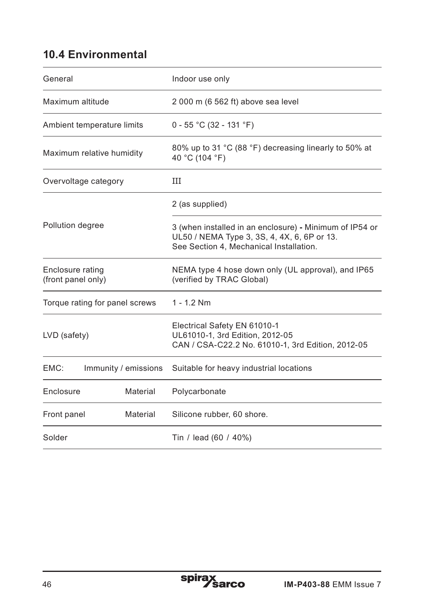# **10.4 Environmental**

| General                                | Indoor use only                                                                                                                                   |  |
|----------------------------------------|---------------------------------------------------------------------------------------------------------------------------------------------------|--|
| Maximum altitude                       | 2 000 m (6 562 ft) above sea level                                                                                                                |  |
| Ambient temperature limits             | $0 - 55$ °C (32 - 131 °F)                                                                                                                         |  |
| Maximum relative humidity              | 80% up to 31 °C (88 °F) decreasing linearly to 50% at<br>40 °C (104 °F)                                                                           |  |
| Overvoltage category                   | Ш                                                                                                                                                 |  |
|                                        | 2 (as supplied)                                                                                                                                   |  |
| Pollution degree                       | 3 (when installed in an enclosure) - Minimum of IP54 or<br>UL50 / NEMA Type 3, 3S, 4, 4X, 6, 6P or 13.<br>See Section 4, Mechanical Installation. |  |
| Enclosure rating<br>(front panel only) | NEMA type 4 hose down only (UL approval), and IP65<br>(verified by TRAC Global)                                                                   |  |
| Torque rating for panel screws         | $1 - 1.2$ Nm                                                                                                                                      |  |
| LVD (safety)                           | Electrical Safety EN 61010-1<br>UL61010-1, 3rd Edition, 2012-05<br>CAN / CSA-C22.2 No. 61010-1, 3rd Edition, 2012-05                              |  |
| EMC:<br>Immunity / emissions           | Suitable for heavy industrial locations                                                                                                           |  |
| Enclosure<br>Material                  | Polycarbonate                                                                                                                                     |  |
| Front panel<br>Material                | Silicone rubber, 60 shore.                                                                                                                        |  |
| Solder                                 | Tin / lead (60 / 40%)                                                                                                                             |  |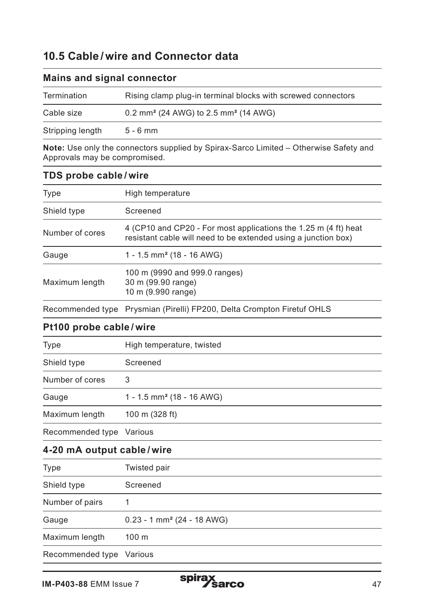## **10.5 Cable /wire and Connector data**

| $1.1.01110$ and $0.191101$ over the order |                                                              |  |
|-------------------------------------------|--------------------------------------------------------------|--|
| Termination                               | Rising clamp plug-in terminal blocks with screwed connectors |  |
| Cable size                                | 0.2 mm <sup>2</sup> (24 AWG) to 2.5 mm <sup>2</sup> (14 AWG) |  |
| Stripping length                          | $5 - 6$ mm                                                   |  |

#### **Mains and signal connector**

**Note:** Use only the connectors supplied by Spirax-Sarco Limited – Otherwise Safety and Approvals may be compromised.

#### **TDS probe cable / wire**

| High temperature                                                                                                                  |
|-----------------------------------------------------------------------------------------------------------------------------------|
| Screened                                                                                                                          |
| 4 (CP10 and CP20 - For most applications the 1.25 m (4 ft) heat<br>resistant cable will need to be extended using a junction box) |
| 1 - 1.5 mm <sup>2</sup> (18 - 16 AWG)                                                                                             |
| 100 m (9990 and 999.0 ranges)<br>30 m (99.90 range)<br>10 m (9.990 range)                                                         |
|                                                                                                                                   |

Recommended type Prysmian (Pirelli) FP200, Delta Crompton Firetuf OHLS

#### **Pt100 probe cable / wire**

| Type                     | High temperature, twisted             |
|--------------------------|---------------------------------------|
| Shield type              | Screened                              |
| Number of cores          | 3                                     |
| Gauge                    | 1 - 1.5 mm <sup>2</sup> (18 - 16 AWG) |
| Maximum length           | 100 m (328 ft)                        |
| Recommended type Various |                                       |

#### **4-20 mA output cable / wire**

| Type             | Twisted pair                             |
|------------------|------------------------------------------|
| Shield type      | Screened                                 |
| Number of pairs  |                                          |
| Gauge            | $0.23 - 1$ mm <sup>2</sup> (24 - 18 AWG) |
| Maximum length   | 100 <sub>m</sub>                         |
| Recommended type | Various                                  |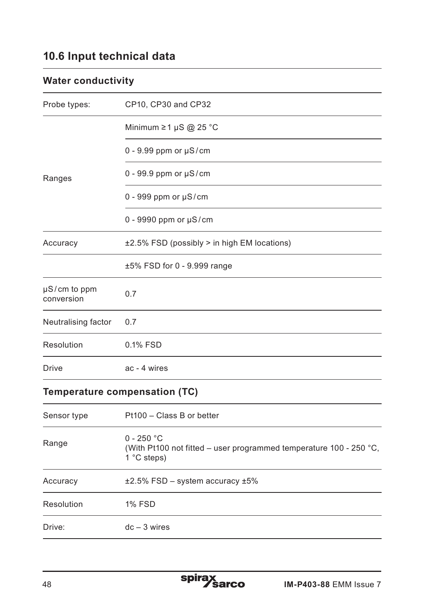## **10.6 Input technical data**

## **Water conductivity**

| Probe types:                    | CP10, CP30 and CP32                               |
|---------------------------------|---------------------------------------------------|
|                                 | Minimum $\geq 1$ µS @ 25 °C                       |
|                                 | $0 - 9.99$ ppm or $\mu$ S/cm                      |
| Ranges                          | $0 - 99.9$ ppm or $\mu$ S/cm                      |
|                                 | $0 - 999$ ppm or $\mu$ S/cm                       |
|                                 | $0 - 9990$ ppm or $\mu$ S/cm                      |
| Accuracy                        | $\pm 2.5\%$ FSD (possibly > in high EM locations) |
|                                 | $±5\%$ FSD for 0 - 9.999 range                    |
| $\mu$ S/cm to ppm<br>conversion | 0.7                                               |
| Neutralising factor             | 0.7                                               |
| Resolution                      | 0.1% FSD                                          |
| Drive                           | ac - 4 wires                                      |

## **Temperature compensation (TC)**

| Sensor type | Pt100 - Class B or better                                                                                            |
|-------------|----------------------------------------------------------------------------------------------------------------------|
| Range       | $0 - 250 °C$<br>(With Pt100 not fitted – user programmed temperature 100 - 250 $^{\circ}$ C,<br>1 $\degree$ C steps) |
| Accuracy    | $\pm 2.5\%$ FSD – system accuracy $\pm 5\%$                                                                          |
| Resolution  | <b>1% FSD</b>                                                                                                        |
| Drive:      | $dc - 3 wires$                                                                                                       |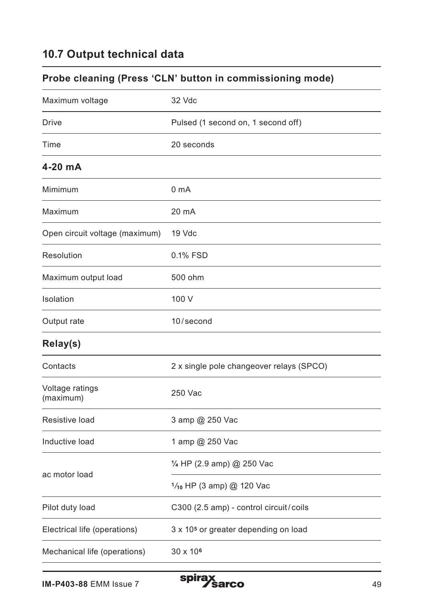## **10.7 Output technical data**

## **Probe cleaning (Press 'CLN' button in commissioning mode)**

| 32 Vdc                                           |
|--------------------------------------------------|
| Pulsed (1 second on, 1 second off)               |
| 20 seconds                                       |
|                                                  |
| 0 <sub>m</sub> A                                 |
| 20 mA                                            |
| 19 Vdc                                           |
| 0.1% FSD                                         |
| 500 ohm                                          |
| 100 V                                            |
| 10/second                                        |
|                                                  |
| 2 x single pole changeover relays (SPCO)         |
| 250 Vac                                          |
| 3 amp @ 250 Vac                                  |
| 1 amp @ 250 Vac                                  |
| 1/4 HP (2.9 amp) @ 250 Vac                       |
| 1/10 HP (3 amp) @ 120 Vac                        |
| C300 (2.5 amp) - control circuit/coils           |
| 3 x 10 <sup>5</sup> or greater depending on load |
| 30 x 10 <sup>6</sup>                             |
|                                                  |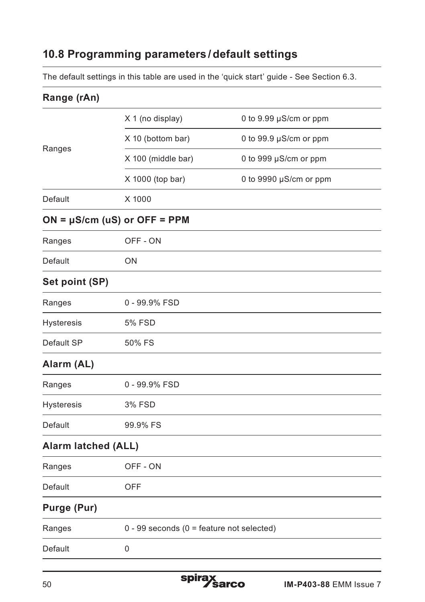## **10.8 Programming parameters /default settings**

The default settings in this table are used in the 'quick start' guide - See Section 6.3.

| Range (rAn)                |                                                |                            |
|----------------------------|------------------------------------------------|----------------------------|
|                            | X 1 (no display)                               | 0 to 9.99 µS/cm or ppm     |
| Ranges                     | X 10 (bottom bar)                              | 0 to 99.9 µS/cm or ppm     |
|                            | X 100 (middle bar)                             | 0 to 999 $\mu$ S/cm or ppm |
|                            | X 1000 (top bar)                               | 0 to 9990 µS/cm or ppm     |
| Default                    | X 1000                                         |                            |
|                            | $ON = \mu S/cm$ (uS) or OFF = PPM              |                            |
| Ranges                     | OFF - ON                                       |                            |
| Default                    | ON                                             |                            |
| Set point (SP)             |                                                |                            |
| Ranges                     | 0 - 99.9% FSD                                  |                            |
| Hysteresis                 | 5% FSD                                         |                            |
| Default SP                 | 50% FS                                         |                            |
| Alarm (AL)                 |                                                |                            |
| Ranges                     | 0 - 99.9% FSD                                  |                            |
| Hysteresis                 | 3% FSD                                         |                            |
| Default                    | 99.9% FS                                       |                            |
| <b>Alarm latched (ALL)</b> |                                                |                            |
| Ranges                     | OFF - ON                                       |                            |
| Default                    | OFF                                            |                            |
| Purge (Pur)                |                                                |                            |
| Ranges                     | $0 - 99$ seconds ( $0 =$ feature not selected) |                            |
| Default                    | 0                                              |                            |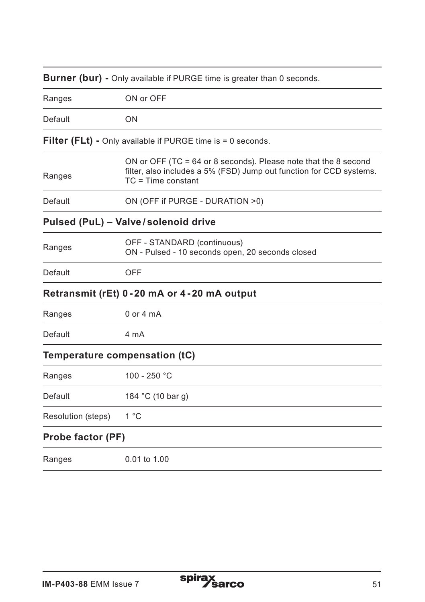| Burner (bur) - Only available if PURGE time is greater than 0 seconds. |                                                                                                                                                                  |  |
|------------------------------------------------------------------------|------------------------------------------------------------------------------------------------------------------------------------------------------------------|--|
| Ranges                                                                 | ON or OFF                                                                                                                                                        |  |
| Default                                                                | ON                                                                                                                                                               |  |
|                                                                        | <b>Filter (FLt)</b> - Only available if PURGE time is = 0 seconds.                                                                                               |  |
| Ranges                                                                 | ON or OFF (TC = $64$ or 8 seconds). Please note that the 8 second<br>filter, also includes a 5% (FSD) Jump out function for CCD systems.<br>$TC = Time constant$ |  |
| Default                                                                | ON (OFF if PURGE - DURATION >0)                                                                                                                                  |  |
|                                                                        | Pulsed (PuL) - Valve/solenoid drive                                                                                                                              |  |
| Ranges                                                                 | OFF - STANDARD (continuous)<br>ON - Pulsed - 10 seconds open, 20 seconds closed                                                                                  |  |
| Default                                                                | OFF                                                                                                                                                              |  |
|                                                                        | Retransmit (rEt) 0-20 mA or 4-20 mA output                                                                                                                       |  |
| Ranges                                                                 | $0$ or $4$ mA                                                                                                                                                    |  |
| Default                                                                | 4 mA                                                                                                                                                             |  |
|                                                                        | Temperature compensation (tC)                                                                                                                                    |  |
| Ranges                                                                 | 100 - 250 °C                                                                                                                                                     |  |
| Default                                                                | 184 °C (10 bar g)                                                                                                                                                |  |
| Resolution (steps)                                                     | $1^{\circ}$ C                                                                                                                                                    |  |
| Probe factor (PF)                                                      |                                                                                                                                                                  |  |
| Ranges                                                                 | 0.01 to 1.00                                                                                                                                                     |  |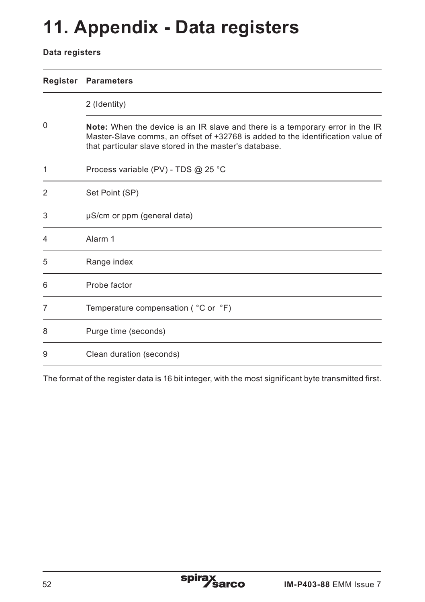# **11. Appendix - Data registers**

#### **Data registers**

| Register | <b>Parameters</b>                                                                                                                                                                                                                 |
|----------|-----------------------------------------------------------------------------------------------------------------------------------------------------------------------------------------------------------------------------------|
|          | 2 (Identity)                                                                                                                                                                                                                      |
| 0        | <b>Note:</b> When the device is an IR slave and there is a temporary error in the IR<br>Master-Slave comms, an offset of +32768 is added to the identification value of<br>that particular slave stored in the master's database. |
| 1        | Process variable (PV) - TDS @ 25 °C                                                                                                                                                                                               |
| 2        | Set Point (SP)                                                                                                                                                                                                                    |
| 3        | µS/cm or ppm (general data)                                                                                                                                                                                                       |
| 4        | Alarm <sub>1</sub>                                                                                                                                                                                                                |
| 5        | Range index                                                                                                                                                                                                                       |
| 6        | Probe factor                                                                                                                                                                                                                      |
| 7        | Temperature compensation ( °C or °F)                                                                                                                                                                                              |
| 8        | Purge time (seconds)                                                                                                                                                                                                              |
| 9        | Clean duration (seconds)                                                                                                                                                                                                          |

The format of the register data is 16 bit integer, with the most significant byte transmitted first.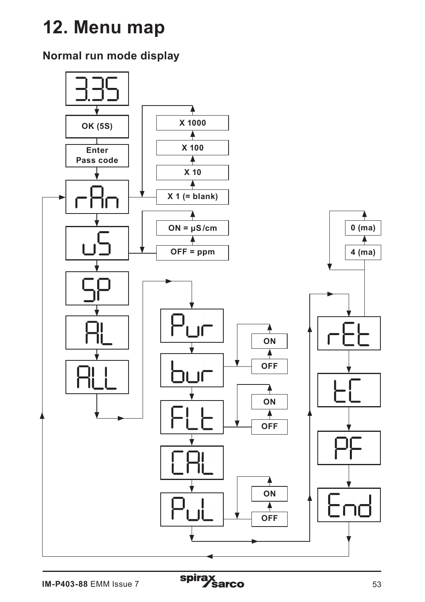# **12. Menu map**

# **Normal run mode display**